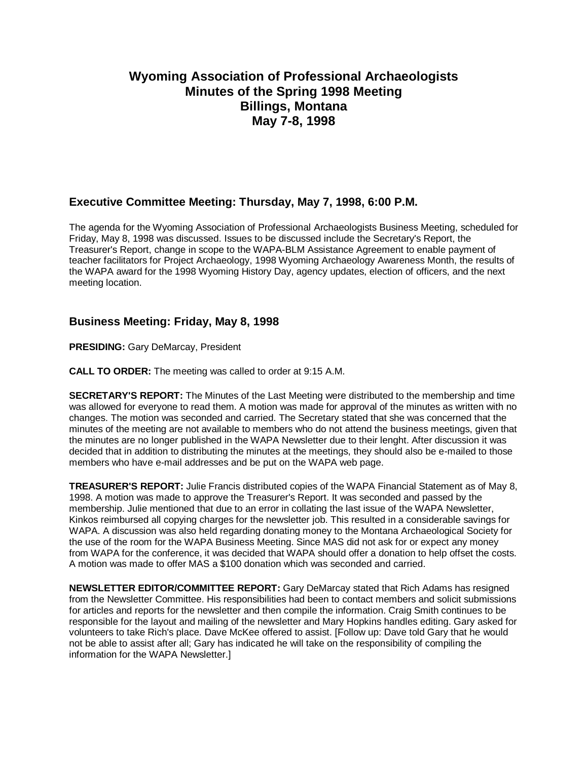# **Wyoming Association of Professional Archaeologists Minutes of the Spring 1998 Meeting Billings, Montana May 7-8, 1998**

## **Executive Committee Meeting: Thursday, May 7, 1998, 6:00 P.M.**

The agenda for the Wyoming Association of Professional Archaeologists Business Meeting, scheduled for Friday, May 8, 1998 was discussed. Issues to be discussed include the Secretary's Report, the Treasurer's Report, change in scope to the WAPA-BLM Assistance Agreement to enable payment of teacher facilitators for Project Archaeology, 1998 Wyoming Archaeology Awareness Month, the results of the WAPA award for the 1998 Wyoming History Day, agency updates, election of officers, and the next meeting location.

## **Business Meeting: Friday, May 8, 1998**

**PRESIDING:** Gary DeMarcay, President

**CALL TO ORDER:** The meeting was called to order at 9:15 A.M.

**SECRETARY'S REPORT:** The Minutes of the Last Meeting were distributed to the membership and time was allowed for everyone to read them. A motion was made for approval of the minutes as written with no changes. The motion was seconded and carried. The Secretary stated that she was concerned that the minutes of the meeting are not available to members who do not attend the business meetings, given that the minutes are no longer published in the WAPA Newsletter due to their lenght. After discussion it was decided that in addition to distributing the minutes at the meetings, they should also be e-mailed to those members who have e-mail addresses and be put on the WAPA web page.

**TREASURER'S REPORT:** Julie Francis distributed copies of the WAPA Financial Statement as of May 8, 1998. A motion was made to approve the Treasurer's Report. It was seconded and passed by the membership. Julie mentioned that due to an error in collating the last issue of the WAPA Newsletter, Kinkos reimbursed all copying charges for the newsletter job. This resulted in a considerable savings for WAPA. A discussion was also held regarding donating money to the Montana Archaeological Society for the use of the room for the WAPA Business Meeting. Since MAS did not ask for or expect any money from WAPA for the conference, it was decided that WAPA should offer a donation to help offset the costs. A motion was made to offer MAS a \$100 donation which was seconded and carried.

**NEWSLETTER EDITOR/COMMITTEE REPORT:** Gary DeMarcay stated that Rich Adams has resigned from the Newsletter Committee. His responsibilities had been to contact members and solicit submissions for articles and reports for the newsletter and then compile the information. Craig Smith continues to be responsible for the layout and mailing of the newsletter and Mary Hopkins handles editing. Gary asked for volunteers to take Rich's place. Dave McKee offered to assist. [Follow up: Dave told Gary that he would not be able to assist after all; Gary has indicated he will take on the responsibility of compiling the information for the WAPA Newsletter.]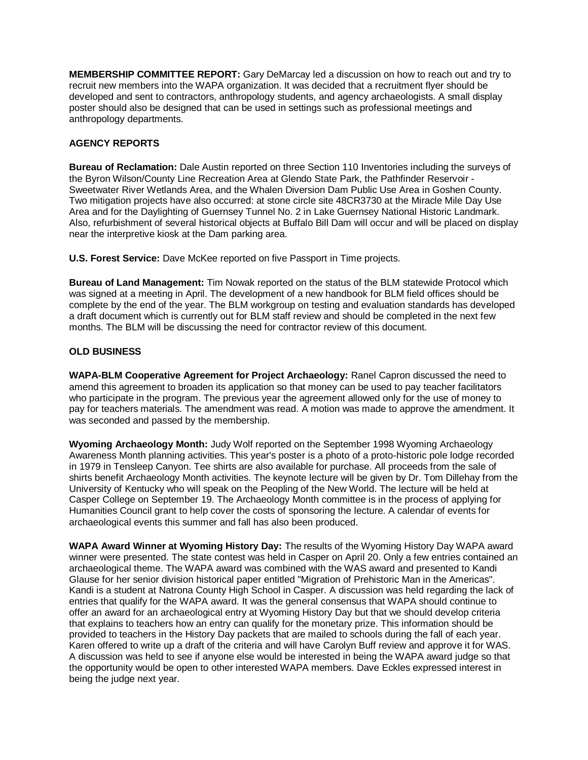**MEMBERSHIP COMMITTEE REPORT:** Gary DeMarcay led a discussion on how to reach out and try to recruit new members into the WAPA organization. It was decided that a recruitment flyer should be developed and sent to contractors, anthropology students, and agency archaeologists. A small display poster should also be designed that can be used in settings such as professional meetings and anthropology departments.

### **AGENCY REPORTS**

**Bureau of Reclamation:** Dale Austin reported on three Section 110 Inventories including the surveys of the Byron Wilson/County Line Recreation Area at Glendo State Park, the Pathfinder Reservoir - Sweetwater River Wetlands Area, and the Whalen Diversion Dam Public Use Area in Goshen County. Two mitigation projects have also occurred: at stone circle site 48CR3730 at the Miracle Mile Day Use Area and for the Daylighting of Guernsey Tunnel No. 2 in Lake Guernsey National Historic Landmark. Also, refurbishment of several historical objects at Buffalo Bill Dam will occur and will be placed on display near the interpretive kiosk at the Dam parking area.

**U.S. Forest Service:** Dave McKee reported on five Passport in Time projects.

**Bureau of Land Management:** Tim Nowak reported on the status of the BLM statewide Protocol which was signed at a meeting in April. The development of a new handbook for BLM field offices should be complete by the end of the year. The BLM workgroup on testing and evaluation standards has developed a draft document which is currently out for BLM staff review and should be completed in the next few months. The BLM will be discussing the need for contractor review of this document.

#### **OLD BUSINESS**

**WAPA-BLM Cooperative Agreement for Project Archaeology:** Ranel Capron discussed the need to amend this agreement to broaden its application so that money can be used to pay teacher facilitators who participate in the program. The previous year the agreement allowed only for the use of money to pay for teachers materials. The amendment was read. A motion was made to approve the amendment. It was seconded and passed by the membership.

**Wyoming Archaeology Month:** Judy Wolf reported on the September 1998 Wyoming Archaeology Awareness Month planning activities. This year's poster is a photo of a proto-historic pole lodge recorded in 1979 in Tensleep Canyon. Tee shirts are also available for purchase. All proceeds from the sale of shirts benefit Archaeology Month activities. The keynote lecture will be given by Dr. Tom Dillehay from the University of Kentucky who will speak on the Peopling of the New World. The lecture will be held at Casper College on September 19. The Archaeology Month committee is in the process of applying for Humanities Council grant to help cover the costs of sponsoring the lecture. A calendar of events for archaeological events this summer and fall has also been produced.

**WAPA Award Winner at Wyoming History Day:** The results of the Wyoming History Day WAPA award winner were presented. The state contest was held in Casper on April 20. Only a few entries contained an archaeological theme. The WAPA award was combined with the WAS award and presented to Kandi Glause for her senior division historical paper entitled "Migration of Prehistoric Man in the Americas". Kandi is a student at Natrona County High School in Casper. A discussion was held regarding the lack of entries that qualify for the WAPA award. It was the general consensus that WAPA should continue to offer an award for an archaeological entry at Wyoming History Day but that we should develop criteria that explains to teachers how an entry can qualify for the monetary prize. This information should be provided to teachers in the History Day packets that are mailed to schools during the fall of each year. Karen offered to write up a draft of the criteria and will have Carolyn Buff review and approve it for WAS. A discussion was held to see if anyone else would be interested in being the WAPA award judge so that the opportunity would be open to other interested WAPA members. Dave Eckles expressed interest in being the judge next year.